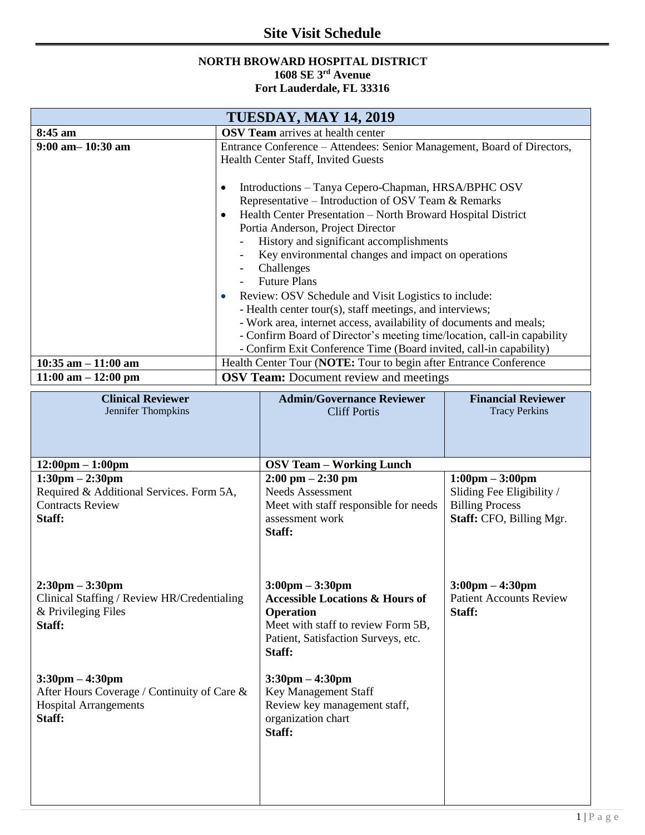## **Site Visit Schedule**

## **NORTH BROWARD HOSPITAL DISTRICT 1608 SE 3rd Avenue Fort Lauderdale, FL 33316**

| <b>TUESDAY, MAY 14, 2019</b> |                                                                                                                                                           |  |  |
|------------------------------|-----------------------------------------------------------------------------------------------------------------------------------------------------------|--|--|
| 8:45 am                      | <b>OSV Team</b> arrives at health center                                                                                                                  |  |  |
| $9:00$ am $-10:30$ am        | Entrance Conference – Attendees: Senior Management, Board of Directors,<br><b>Health Center Staff, Invited Guests</b>                                     |  |  |
|                              | Introductions – Tanya Cepero-Chapman, HRSA/BPHC OSV<br>٠<br>Representative – Introduction of OSV Team & Remarks                                           |  |  |
|                              | Health Center Presentation – North Broward Hospital District<br>$\bullet$<br>Portia Anderson, Project Director<br>History and significant accomplishments |  |  |
|                              | Key environmental changes and impact on operations<br>Challenges<br><b>Future Plans</b>                                                                   |  |  |
|                              | Review: OSV Schedule and Visit Logistics to include:<br>$\bullet$<br>- Health center tour(s), staff meetings, and interviews;                             |  |  |
|                              | - Work area, internet access, availability of documents and meals;                                                                                        |  |  |
|                              | - Confirm Board of Director's meeting time/location, call-in capability<br>- Confirm Exit Conference Time (Board invited, call-in capability)             |  |  |
| $10:35$ am $-11:00$ am       | Health Center Tour (NOTE: Tour to begin after Entrance Conference                                                                                         |  |  |
| $11:00$ am $-12:00$ pm       | <b>OSV Team:</b> Document review and meetings                                                                                                             |  |  |

| <b>Clinical Reviewer</b><br>Jennifer Thompkins                                                                             | <b>Admin/Governance Reviewer</b><br><b>Cliff Portis</b>                                                                                                                                    | <b>Financial Reviewer</b><br><b>Tracy Perkins</b>                                                                    |  |
|----------------------------------------------------------------------------------------------------------------------------|--------------------------------------------------------------------------------------------------------------------------------------------------------------------------------------------|----------------------------------------------------------------------------------------------------------------------|--|
|                                                                                                                            |                                                                                                                                                                                            |                                                                                                                      |  |
| $12:00 \text{pm} - 1:00 \text{pm}$                                                                                         | <b>OSV Team - Working Lunch</b>                                                                                                                                                            |                                                                                                                      |  |
| $1:30 \text{pm} - 2:30 \text{pm}$<br>Required & Additional Services. Form 5A,<br><b>Contracts Review</b><br>Staff:         | $2:00 \text{ pm} - 2:30 \text{ pm}$<br><b>Needs Assessment</b><br>Meet with staff responsible for needs<br>assessment work<br>Staff:                                                       | $1:00 \text{pm} - 3:00 \text{pm}$<br>Sliding Fee Eligibility /<br><b>Billing Process</b><br>Staff: CFO, Billing Mgr. |  |
| $2:30 \text{pm} - 3:30 \text{pm}$<br>Clinical Staffing / Review HR/Credentialing<br>& Privileging Files<br>Staff:          | $3:00 \text{pm} - 3:30 \text{pm}$<br><b>Accessible Locations &amp; Hours of</b><br><b>Operation</b><br>Meet with staff to review Form 5B,<br>Patient, Satisfaction Surveys, etc.<br>Staff: | $3:00 \text{pm} - 4:30 \text{pm}$<br><b>Patient Accounts Review</b><br>Staff:                                        |  |
| $3:30 \text{pm} - 4:30 \text{pm}$<br>After Hours Coverage / Continuity of Care &<br><b>Hospital Arrangements</b><br>Staff: | $3:30 \text{pm} - 4:30 \text{pm}$<br>Key Management Staff<br>Review key management staff,<br>organization chart<br>Staff:                                                                  |                                                                                                                      |  |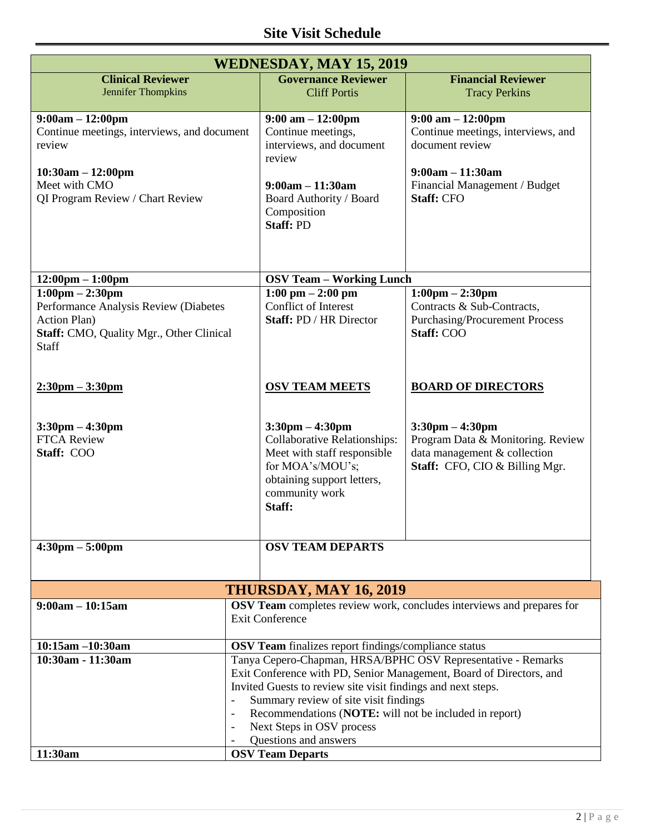| <b>WEDNESDAY, MAY 15, 2019</b>                                                                                                                          |                                                                                                                                                                                                                                                                                                                                                                                          |                                                                                                                                                                                     |                                                                                                                                                     |  |  |  |
|---------------------------------------------------------------------------------------------------------------------------------------------------------|------------------------------------------------------------------------------------------------------------------------------------------------------------------------------------------------------------------------------------------------------------------------------------------------------------------------------------------------------------------------------------------|-------------------------------------------------------------------------------------------------------------------------------------------------------------------------------------|-----------------------------------------------------------------------------------------------------------------------------------------------------|--|--|--|
| <b>Clinical Reviewer</b>                                                                                                                                |                                                                                                                                                                                                                                                                                                                                                                                          | <b>Governance Reviewer</b>                                                                                                                                                          | <b>Financial Reviewer</b>                                                                                                                           |  |  |  |
| Jennifer Thompkins                                                                                                                                      |                                                                                                                                                                                                                                                                                                                                                                                          | <b>Cliff Portis</b>                                                                                                                                                                 | <b>Tracy Perkins</b>                                                                                                                                |  |  |  |
| $9:00am - 12:00pm$<br>Continue meetings, interviews, and document<br>review<br>$10:30am - 12:00pm$<br>Meet with CMO<br>QI Program Review / Chart Review |                                                                                                                                                                                                                                                                                                                                                                                          | $9:00 \text{ am} - 12:00 \text{pm}$<br>Continue meetings,<br>interviews, and document<br>review<br>$9:00am - 11:30am$<br>Board Authority / Board<br>Composition<br><b>Staff: PD</b> | $9:00$ am $-12:00$ pm<br>Continue meetings, interviews, and<br>document review<br>$9:00am - 11:30am$<br>Financial Management / Budget<br>Staff: CFO |  |  |  |
| $12:00 \text{pm} - 1:00 \text{pm}$                                                                                                                      |                                                                                                                                                                                                                                                                                                                                                                                          | <b>OSV Team - Working Lunch</b>                                                                                                                                                     |                                                                                                                                                     |  |  |  |
| $1:00 \text{pm} - 2:30 \text{pm}$<br>Performance Analysis Review (Diabetes<br><b>Action Plan)</b><br>Staff: CMO, Quality Mgr., Other Clinical<br>Staff  |                                                                                                                                                                                                                                                                                                                                                                                          | $1:00$ pm $- 2:00$ pm<br>Conflict of Interest<br>Staff: PD / HR Director                                                                                                            | $1:00 \text{pm} - 2:30 \text{pm}$<br>Contracts & Sub-Contracts,<br><b>Purchasing/Procurement Process</b><br>Staff: COO                              |  |  |  |
| $2:30 \text{pm} - 3:30 \text{pm}$                                                                                                                       |                                                                                                                                                                                                                                                                                                                                                                                          | <b>OSV TEAM MEETS</b>                                                                                                                                                               | <b>BOARD OF DIRECTORS</b>                                                                                                                           |  |  |  |
| $3:30 \text{pm} - 4:30 \text{pm}$<br><b>FTCA Review</b><br>Staff: COO                                                                                   |                                                                                                                                                                                                                                                                                                                                                                                          | $3:30 \text{pm} - 4:30 \text{pm}$<br>Collaborative Relationships:<br>Meet with staff responsible<br>for MOA's/MOU's;<br>obtaining support letters,<br>community work<br>Staff:      | $3:30 \text{pm} - 4:30 \text{pm}$<br>Program Data & Monitoring. Review<br>data management & collection<br>Staff: CFO, CIO & Billing Mgr.            |  |  |  |
| $4:30 \text{pm} - 5:00 \text{pm}$                                                                                                                       |                                                                                                                                                                                                                                                                                                                                                                                          | <b>OSV TEAM DEPARTS</b>                                                                                                                                                             |                                                                                                                                                     |  |  |  |
|                                                                                                                                                         |                                                                                                                                                                                                                                                                                                                                                                                          |                                                                                                                                                                                     |                                                                                                                                                     |  |  |  |
| THURSDAY, MAY 16, 2019                                                                                                                                  |                                                                                                                                                                                                                                                                                                                                                                                          |                                                                                                                                                                                     |                                                                                                                                                     |  |  |  |
| $9:00am - 10:15am$                                                                                                                                      | OSV Team completes review work, concludes interviews and prepares for<br><b>Exit Conference</b>                                                                                                                                                                                                                                                                                          |                                                                                                                                                                                     |                                                                                                                                                     |  |  |  |
| 10:15am -10:30am                                                                                                                                        | OSV Team finalizes report findings/compliance status                                                                                                                                                                                                                                                                                                                                     |                                                                                                                                                                                     |                                                                                                                                                     |  |  |  |
| 10:30am - 11:30am                                                                                                                                       | Tanya Cepero-Chapman, HRSA/BPHC OSV Representative - Remarks<br>Exit Conference with PD, Senior Management, Board of Directors, and<br>Invited Guests to review site visit findings and next steps.<br>Summary review of site visit findings<br>Recommendations (NOTE: will not be included in report)<br>Next Steps in OSV process<br>$\overline{\phantom{a}}$<br>Questions and answers |                                                                                                                                                                                     |                                                                                                                                                     |  |  |  |
| 11:30am                                                                                                                                                 | <b>OSV Team Departs</b>                                                                                                                                                                                                                                                                                                                                                                  |                                                                                                                                                                                     |                                                                                                                                                     |  |  |  |